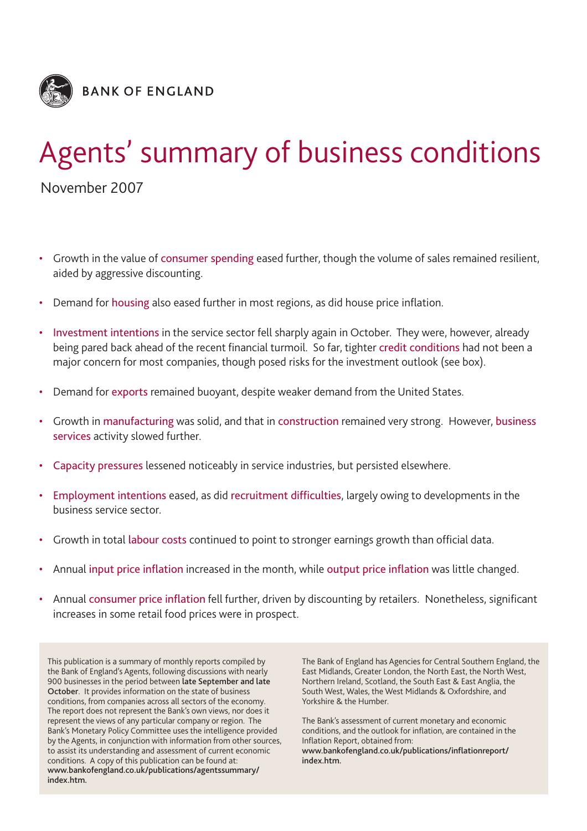

# Agents' summary of business conditions

November 2007

- Growth in the value of consumer spending eased further, though the volume of sales remained resilient, aided by aggressive discounting.
- Demand for housing also eased further in most regions, as did house price inflation.
- Investment intentions in the service sector fell sharply again in October. They were, however, already being pared back ahead of the recent financial turmoil. So far, tighter credit conditions had not been a major concern for most companies, though posed risks for the investment outlook (see box).
- Demand for exports remained buoyant, despite weaker demand from the United States.
- Growth in manufacturing was solid, and that in construction remained very strong. However, business services activity slowed further.
- Capacity pressures lessened noticeably in service industries, but persisted elsewhere.
- Employment intentions eased, as did recruitment difficulties, largely owing to developments in the business service sector.
- Growth in total labour costs continued to point to stronger earnings growth than official data.
- Annual input price inflation increased in the month, while output price inflation was little changed.
- Annual consumer price inflation fell further, driven by discounting by retailers. Nonetheless, significant increases in some retail food prices were in prospect.

This publication is a summary of monthly reports compiled by the Bank of England's Agents, following discussions with nearly 900 businesses in the period between **late September and late October**. It provides information on the state of business conditions, from companies across all sectors of the economy. The report does not represent the Bank's own views, nor does it represent the views of any particular company or region. The Bank's Monetary Policy Committee uses the intelligence provided by the Agents, in conjunction with information from other sources, to assist its understanding and assessment of current economic conditions. A copy of this publication can be found at: **www.bankofengland.co.uk/publications/agentssummary/ index.htm.**

The Bank of England has Agencies for Central Southern England, the East Midlands, Greater London, the North East, the North West, Northern Ireland, Scotland, the South East & East Anglia, the South West, Wales, the West Midlands & Oxfordshire, and Yorkshire & the Humber.

The Bank's assessment of current monetary and economic conditions, and the outlook for inflation, are contained in the Inflation Report, obtained from: **www.bankofengland.co.uk/publications/inflationreport/**

**index.htm.**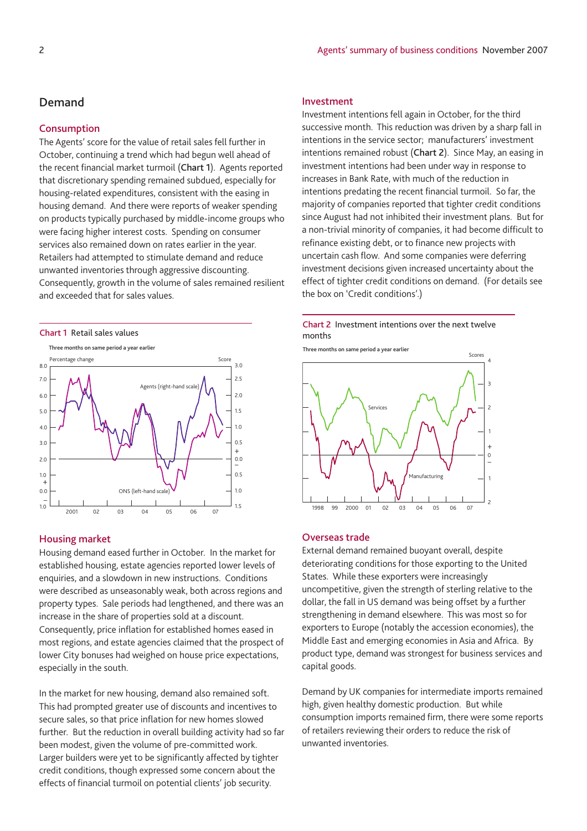## **Demand**

## **Consumption**

The Agents' score for the value of retail sales fell further in October, continuing a trend which had begun well ahead of the recent financial market turmoil (**Chart 1**). Agents reported that discretionary spending remained subdued, especially for housing-related expenditures, consistent with the easing in housing demand. And there were reports of weaker spending on products typically purchased by middle-income groups who were facing higher interest costs. Spending on consumer services also remained down on rates earlier in the year. Retailers had attempted to stimulate demand and reduce unwanted inventories through aggressive discounting. Consequently, growth in the volume of sales remained resilient and exceeded that for sales values.



## **Housing market**

Housing demand eased further in October. In the market for established housing, estate agencies reported lower levels of enquiries, and a slowdown in new instructions. Conditions were described as unseasonably weak, both across regions and property types. Sale periods had lengthened, and there was an increase in the share of properties sold at a discount. Consequently, price inflation for established homes eased in most regions, and estate agencies claimed that the prospect of lower City bonuses had weighed on house price expectations, especially in the south.

In the market for new housing, demand also remained soft. This had prompted greater use of discounts and incentives to secure sales, so that price inflation for new homes slowed further. But the reduction in overall building activity had so far been modest, given the volume of pre-committed work. Larger builders were yet to be significantly affected by tighter credit conditions, though expressed some concern about the effects of financial turmoil on potential clients' job security.

## **Investment**

Investment intentions fell again in October, for the third successive month. This reduction was driven by a sharp fall in intentions in the service sector; manufacturers' investment intentions remained robust (**Chart 2**). Since May, an easing in investment intentions had been under way in response to increases in Bank Rate, with much of the reduction in intentions predating the recent financial turmoil. So far, the majority of companies reported that tighter credit conditions since August had not inhibited their investment plans. But for a non-trivial minority of companies, it had become difficult to refinance existing debt, or to finance new projects with uncertain cash flow. And some companies were deferring investment decisions given increased uncertainty about the effect of tighter credit conditions on demand. (For details see the box on 'Credit conditions'.)



**Three months on same period a year earlier**



#### **Overseas trade**

External demand remained buoyant overall, despite deteriorating conditions for those exporting to the United States. While these exporters were increasingly uncompetitive, given the strength of sterling relative to the dollar, the fall in US demand was being offset by a further strengthening in demand elsewhere. This was most so for exporters to Europe (notably the accession economies), the Middle East and emerging economies in Asia and Africa. By product type, demand was strongest for business services and capital goods.

Demand by UK companies for intermediate imports remained high, given healthy domestic production. But while consumption imports remained firm, there were some reports of retailers reviewing their orders to reduce the risk of unwanted inventories.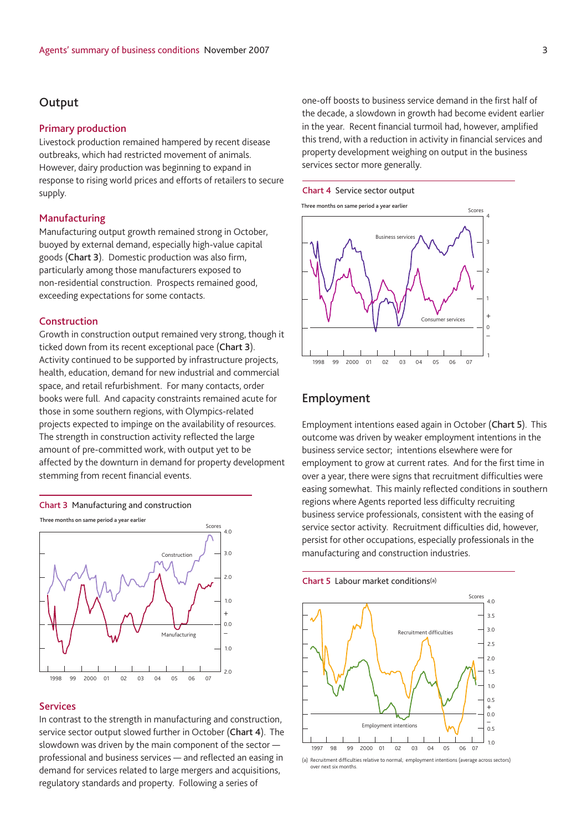## **Output**

#### **Primary production**

Livestock production remained hampered by recent disease outbreaks, which had restricted movement of animals. However, dairy production was beginning to expand in response to rising world prices and efforts of retailers to secure supply.

## **Manufacturing**

Manufacturing output growth remained strong in October, buoyed by external demand, especially high-value capital goods (**Chart 3**). Domestic production was also firm, particularly among those manufacturers exposed to non-residential construction. Prospects remained good, exceeding expectations for some contacts.

## **Construction**

Growth in construction output remained very strong, though it ticked down from its recent exceptional pace (**Chart 3**). Activity continued to be supported by infrastructure projects, health, education, demand for new industrial and commercial space, and retail refurbishment. For many contacts, order books were full. And capacity constraints remained acute for those in some southern regions, with Olympics-related projects expected to impinge on the availability of resources. The strength in construction activity reflected the large amount of pre-committed work, with output yet to be affected by the downturn in demand for property development stemming from recent financial events.



**Three months on same period a year earlier**



## **Services**

In contrast to the strength in manufacturing and construction, service sector output slowed further in October (**Chart 4**). The slowdown was driven by the main component of the sector professional and business services — and reflected an easing in demand for services related to large mergers and acquisitions, regulatory standards and property. Following a series of

one-off boosts to business service demand in the first half of the decade, a slowdown in growth had become evident earlier in the year. Recent financial turmoil had, however, amplified this trend, with a reduction in activity in financial services and property development weighing on output in the business services sector more generally.







## **Employment**

Employment intentions eased again in October (**Chart 5**). This outcome was driven by weaker employment intentions in the business service sector; intentions elsewhere were for employment to grow at current rates. And for the first time in over a year, there were signs that recruitment difficulties were easing somewhat. This mainly reflected conditions in southern regions where Agents reported less difficulty recruiting business service professionals, consistent with the easing of service sector activity. Recruitment difficulties did, however, persist for other occupations, especially professionals in the manufacturing and construction industries.



(a) Recruitment difficulties relative to normal; employment intentions (average across sectors) over next six months.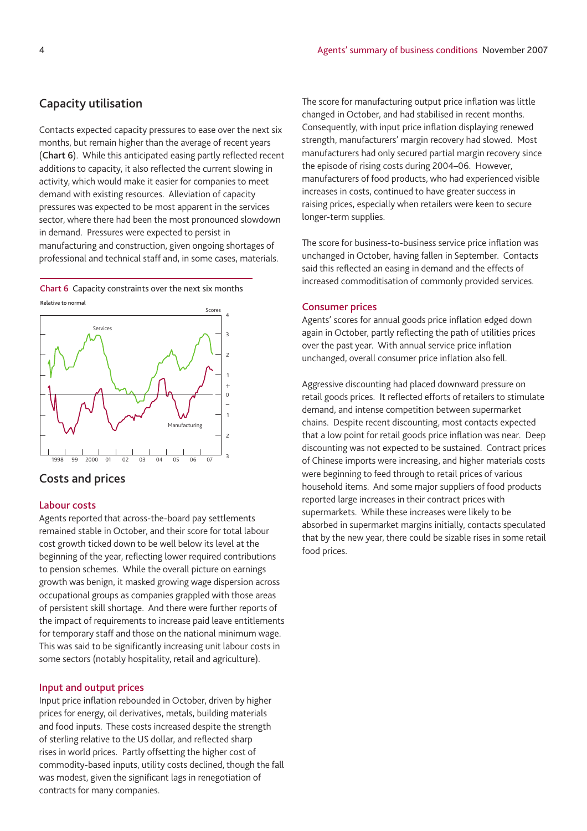## **Capacity utilisation**

Contacts expected capacity pressures to ease over the next six months, but remain higher than the average of recent years (**Chart 6**). While this anticipated easing partly reflected recent additions to capacity, it also reflected the current slowing in activity, which would make it easier for companies to meet demand with existing resources. Alleviation of capacity pressures was expected to be most apparent in the services sector, where there had been the most pronounced slowdown in demand. Pressures were expected to persist in manufacturing and construction, given ongoing shortages of professional and technical staff and, in some cases, materials.

**Relative to normal Chart 6** Capacity constraints over the next six months



## **Costs and prices**

## **Labour costs**

Agents reported that across-the-board pay settlements remained stable in October, and their score for total labour cost growth ticked down to be well below its level at the beginning of the year, reflecting lower required contributions to pension schemes. While the overall picture on earnings growth was benign, it masked growing wage dispersion across occupational groups as companies grappled with those areas of persistent skill shortage. And there were further reports of the impact of requirements to increase paid leave entitlements for temporary staff and those on the national minimum wage. This was said to be significantly increasing unit labour costs in some sectors (notably hospitality, retail and agriculture).

## **Input and output prices**

Input price inflation rebounded in October, driven by higher prices for energy, oil derivatives, metals, building materials and food inputs. These costs increased despite the strength of sterling relative to the US dollar, and reflected sharp rises in world prices. Partly offsetting the higher cost of commodity-based inputs, utility costs declined, though the fall was modest, given the significant lags in renegotiation of contracts for many companies.

The score for manufacturing output price inflation was little changed in October, and had stabilised in recent months. Consequently, with input price inflation displaying renewed strength, manufacturers' margin recovery had slowed. Most manufacturers had only secured partial margin recovery since the episode of rising costs during 2004–06. However, manufacturers of food products, who had experienced visible increases in costs, continued to have greater success in raising prices, especially when retailers were keen to secure longer-term supplies.

The score for business-to-business service price inflation was unchanged in October, having fallen in September. Contacts said this reflected an easing in demand and the effects of increased commoditisation of commonly provided services.

### **Consumer prices**

Agents' scores for annual goods price inflation edged down again in October, partly reflecting the path of utilities prices over the past year. With annual service price inflation unchanged, overall consumer price inflation also fell.

Aggressive discounting had placed downward pressure on retail goods prices. It reflected efforts of retailers to stimulate demand, and intense competition between supermarket chains. Despite recent discounting, most contacts expected that a low point for retail goods price inflation was near. Deep discounting was not expected to be sustained. Contract prices of Chinese imports were increasing, and higher materials costs were beginning to feed through to retail prices of various household items. And some major suppliers of food products reported large increases in their contract prices with supermarkets. While these increases were likely to be absorbed in supermarket margins initially, contacts speculated that by the new year, there could be sizable rises in some retail food prices.